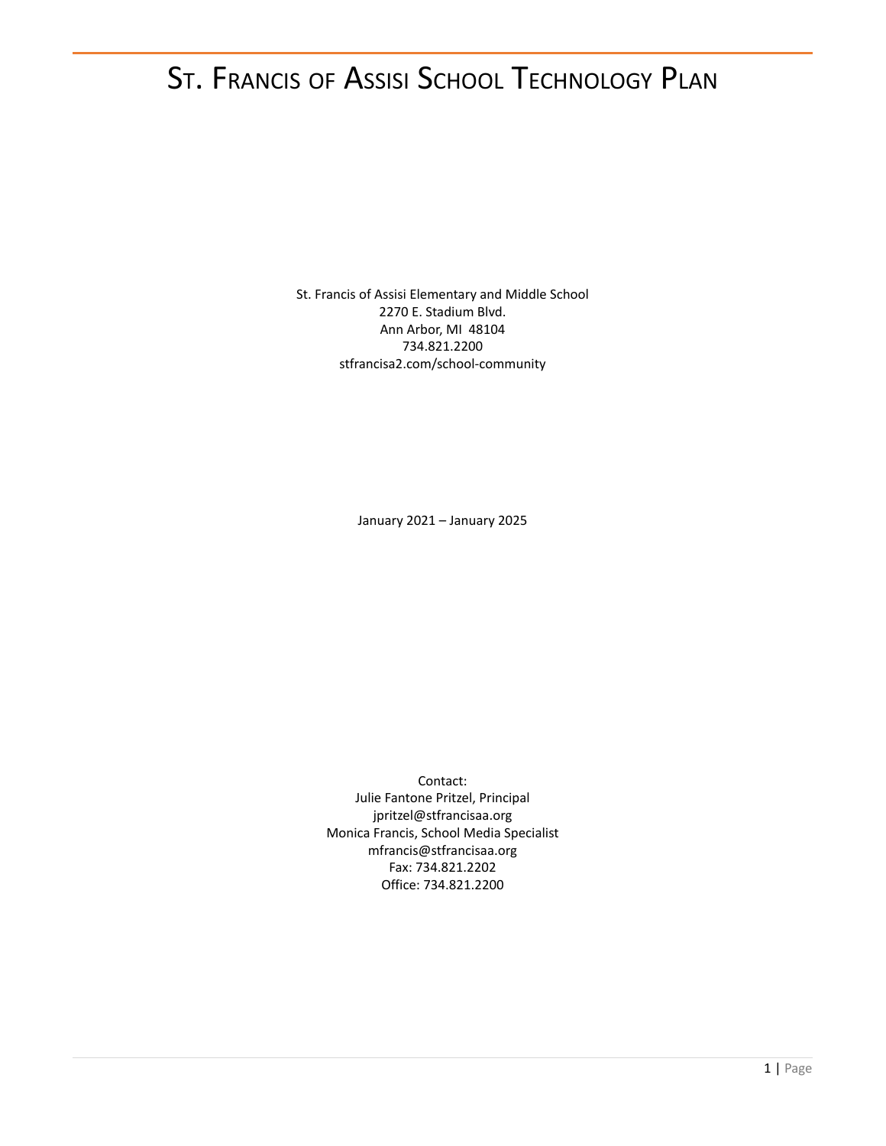# ST. FRANCIS OF ASSISI SCHOOL TECHNOLOGY PLAN

St. Francis of Assisi Elementary and Middle School 2270 E. Stadium Blvd. Ann Arbor, MI 48104 734.821.2200 stfrancisa2.com/school-community

January 2021 – January 2025

Contact: Julie Fantone Pritzel, Principal jpritzel@stfrancisaa.org Monica Francis, School Media Specialist mfrancis@stfrancisaa.org Fax: 734.821.2202 Office: 734.821.2200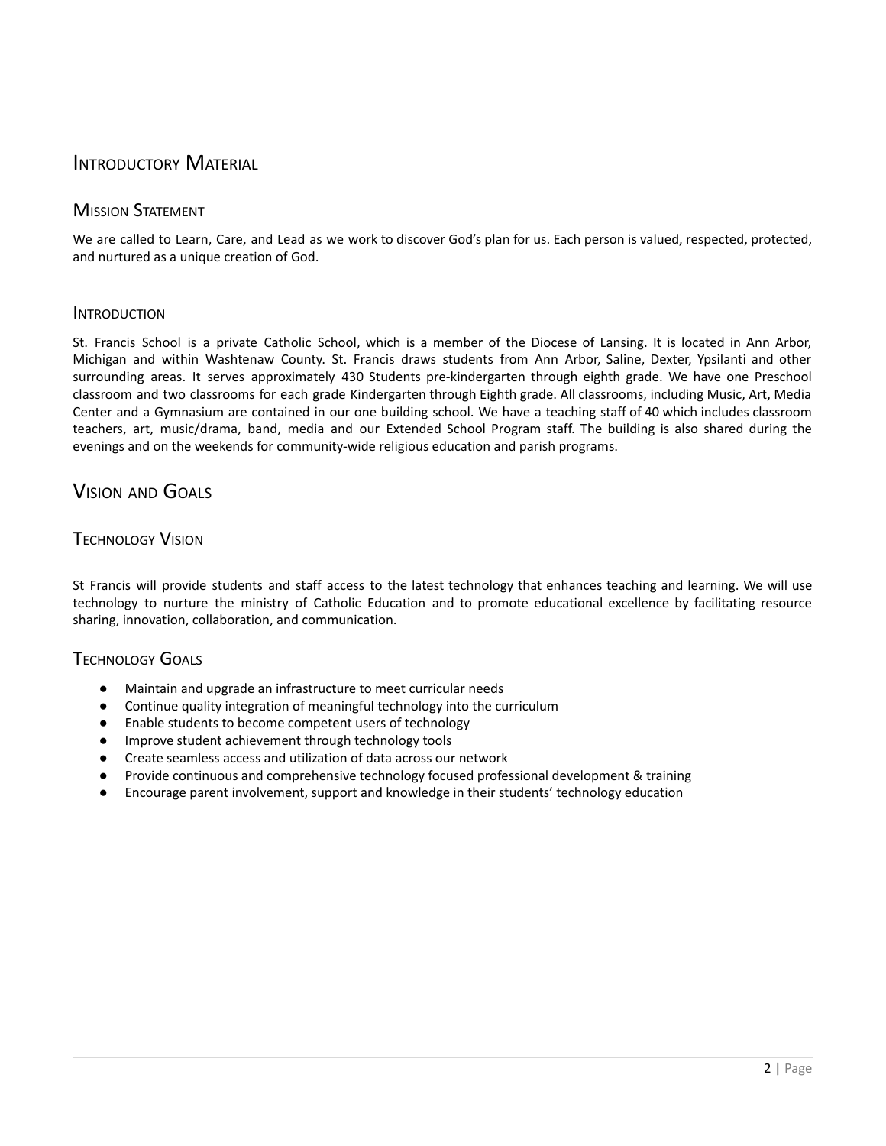# INTRODUCTORY MATERIAL

# **MISSION STATEMENT**

We are called to Learn, Care, and Lead as we work to discover God's plan for us. Each person is valued, respected, protected, and nurtured as a unique creation of God.

### INTRODUCTION

St. Francis School is a private Catholic School, which is a member of the Diocese of Lansing. It is located in Ann Arbor, Michigan and within Washtenaw County. St. Francis draws students from Ann Arbor, Saline, Dexter, Ypsilanti and other surrounding areas. It serves approximately 430 Students pre-kindergarten through eighth grade. We have one Preschool classroom and two classrooms for each grade Kindergarten through Eighth grade. All classrooms, including Music, Art, Media Center and a Gymnasium are contained in our one building school. We have a teaching staff of 40 which includes classroom teachers, art, music/drama, band, media and our Extended School Program staff. The building is also shared during the evenings and on the weekends for community-wide religious education and parish programs.

# VISION AND GOALS

### TECHNOLOGY VISION

St Francis will provide students and staff access to the latest technology that enhances teaching and learning. We will use technology to nurture the ministry of Catholic Education and to promote educational excellence by facilitating resource sharing, innovation, collaboration, and communication.

# TECHNOLOGY GOALS

- Maintain and upgrade an infrastructure to meet curricular needs
- Continue quality integration of meaningful technology into the curriculum
- Enable students to become competent users of technology
- Improve student achievement through technology tools
- Create seamless access and utilization of data across our network
- Provide continuous and comprehensive technology focused professional development & training
- Encourage parent involvement, support and knowledge in their students' technology education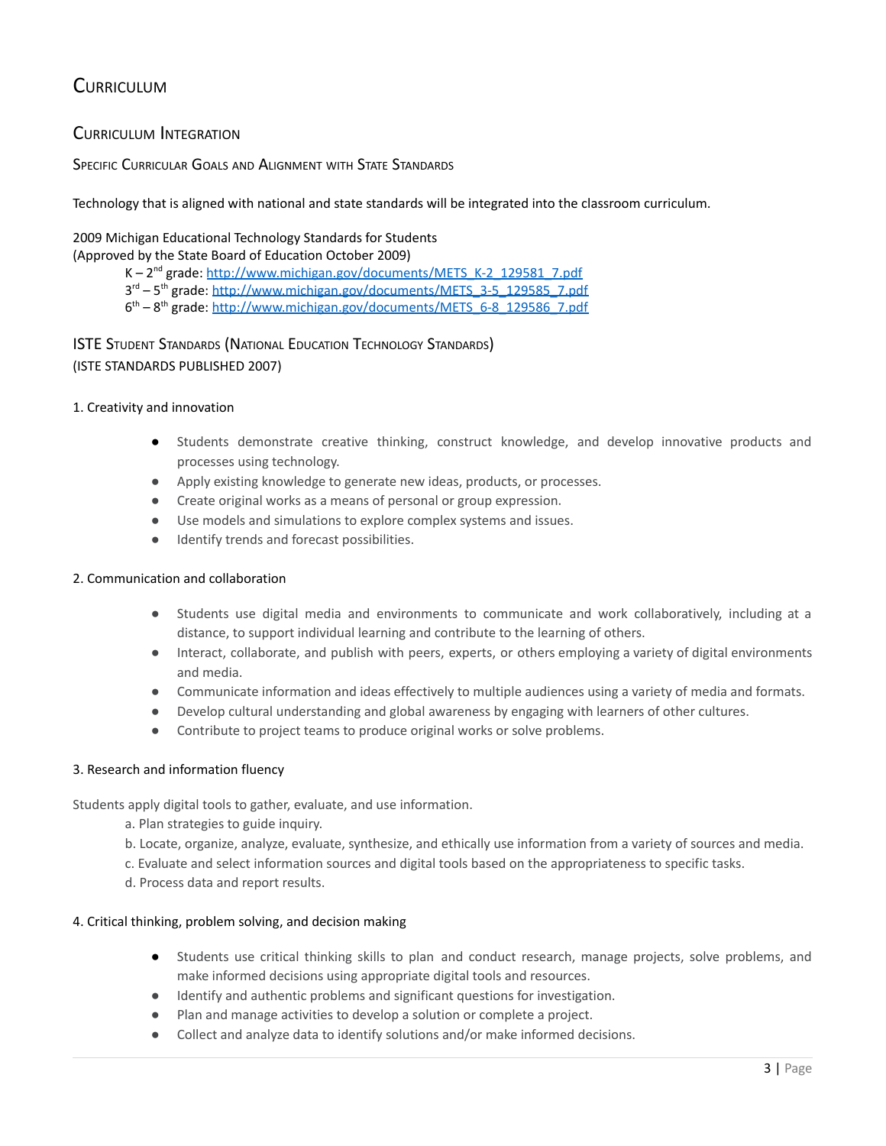# **CURRICULUM**

# CURRICULUM INTEGRATION

### SPECIFIC CURRICULAR GOALS AND ALIGNMENT WITH STATE STANDARDS

Technology that is aligned with national and state standards will be integrated into the classroom curriculum.

### 2009 Michigan Educational Technology Standards for Students (Approved by the State Board of Education October 2009)

- K 2<sup>nd</sup> grade: [http://www.michigan.gov/documents/METS\\_K-2\\_129581\\_7.pdf](http://www.michigan.gov/documents/METS_K-2_129581_7.pdf)
- 3<sup>rd</sup> 5<sup>th</sup> grade: [http://www.michigan.gov/documents/METS\\_3-5\\_129585\\_7.pdf](http://www.michigan.gov/documents/METS_3-5_129585_7.pdf)

6<sup>th</sup> - 8<sup>th</sup> grade: [http://www.michigan.gov/documents/METS\\_6-8\\_129586\\_7.pdf](http://www.michigan.gov/documents/METS_6-8_129586_7.pdf)

# ISTE STUDENT STANDARDS (NATIONAL EDUCATION TECHNOLOGY STANDARDS) (ISTE STANDARDS PUBLISHED 2007)

### 1. Creativity and innovation

- Students demonstrate creative thinking, construct knowledge, and develop innovative products and processes using technology.
- Apply existing knowledge to generate new ideas, products, or processes.
- Create original works as a means of personal or group expression.
- Use models and simulations to explore complex systems and issues.
- Identify trends and forecast possibilities.

### 2. Communication and collaboration

- Students use digital media and environments to communicate and work collaboratively, including at a distance, to support individual learning and contribute to the learning of others.
- Interact, collaborate, and publish with peers, experts, or others employing a variety of digital environments and media.
- Communicate information and ideas effectively to multiple audiences using a variety of media and formats.
- Develop cultural understanding and global awareness by engaging with learners of other cultures.
- Contribute to project teams to produce original works or solve problems.

### 3. Research and information fluency

Students apply digital tools to gather, evaluate, and use information.

- a. Plan strategies to guide inquiry.
- b. Locate, organize, analyze, evaluate, synthesize, and ethically use information from a variety of sources and media.
- c. Evaluate and select information sources and digital tools based on the appropriateness to specific tasks.
- d. Process data and report results.

### 4. Critical thinking, problem solving, and decision making

- Students use critical thinking skills to plan and conduct research, manage projects, solve problems, and make informed decisions using appropriate digital tools and resources.
- Identify and authentic problems and significant questions for investigation.
- Plan and manage activities to develop a solution or complete a project.
- Collect and analyze data to identify solutions and/or make informed decisions.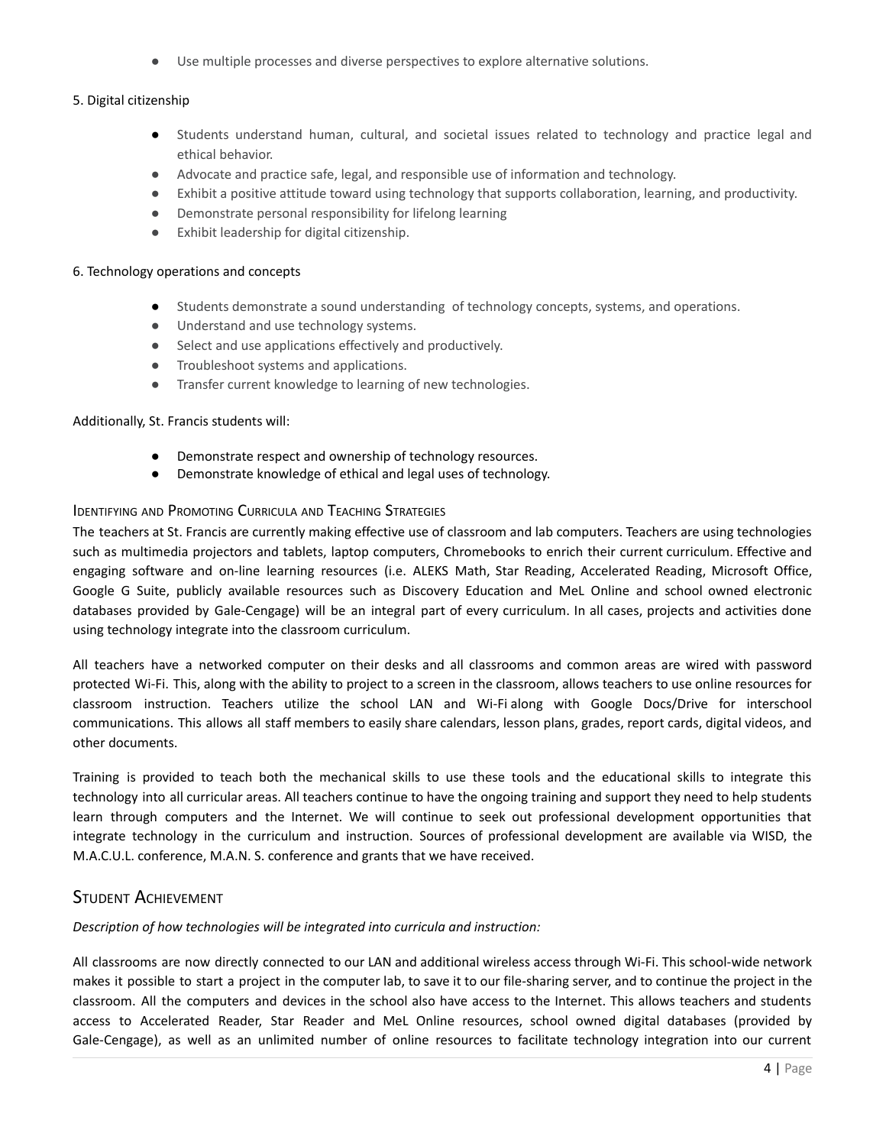Use multiple processes and diverse perspectives to explore alternative solutions.

### 5. Digital citizenship

- Students understand human, cultural, and societal issues related to technology and practice legal and ethical behavior.
- Advocate and practice safe, legal, and responsible use of information and technology.
- Exhibit a positive attitude toward using technology that supports collaboration, learning, and productivity.
- Demonstrate personal responsibility for lifelong learning
- Exhibit leadership for digital citizenship.

#### 6. Technology operations and concepts

- Students demonstrate a sound understanding of technology concepts, systems, and operations.
- Understand and use technology systems.
- Select and use applications effectively and productively.
- Troubleshoot systems and applications.
- Transfer current knowledge to learning of new technologies.

### Additionally, St. Francis students will:

- Demonstrate respect and ownership of technology resources.
- Demonstrate knowledge of ethical and legal uses of technology.

### **IDENTIFYING AND PROMOTING CURRICULA AND TEACHING STRATEGIES**

The teachers at St. Francis are currently making effective use of classroom and lab computers. Teachers are using technologies such as multimedia projectors and tablets, laptop computers, Chromebooks to enrich their current curriculum. Effective and engaging software and on-line learning resources (i.e. ALEKS Math, Star Reading, Accelerated Reading, Microsoft Office, Google G Suite, publicly available resources such as Discovery Education and MeL Online and school owned electronic databases provided by Gale-Cengage) will be an integral part of every curriculum. In all cases, projects and activities done using technology integrate into the classroom curriculum.

All teachers have a networked computer on their desks and all classrooms and common areas are wired with password protected Wi-Fi. This, along with the ability to project to a screen in the classroom, allows teachers to use online resources for classroom instruction. Teachers utilize the school LAN and Wi-Fi along with Google Docs/Drive for interschool communications. This allows all staff members to easily share calendars, lesson plans, grades, report cards, digital videos, and other documents.

Training is provided to teach both the mechanical skills to use these tools and the educational skills to integrate this technology into all curricular areas. All teachers continue to have the ongoing training and support they need to help students learn through computers and the Internet. We will continue to seek out professional development opportunities that integrate technology in the curriculum and instruction. Sources of professional development are available via WISD, the M.A.C.U.L. conference, M.A.N. S. conference and grants that we have received.

### STUDENT ACHIEVEMENT

*Description of how technologies will be integrated into curricula and instruction:*

All classrooms are now directly connected to our LAN and additional wireless access through Wi-Fi. This school-wide network makes it possible to start a project in the computer lab, to save it to our file-sharing server, and to continue the project in the classroom. All the computers and devices in the school also have access to the Internet. This allows teachers and students access to Accelerated Reader, Star Reader and MeL Online resources, school owned digital databases (provided by Gale-Cengage), as well as an unlimited number of online resources to facilitate technology integration into our current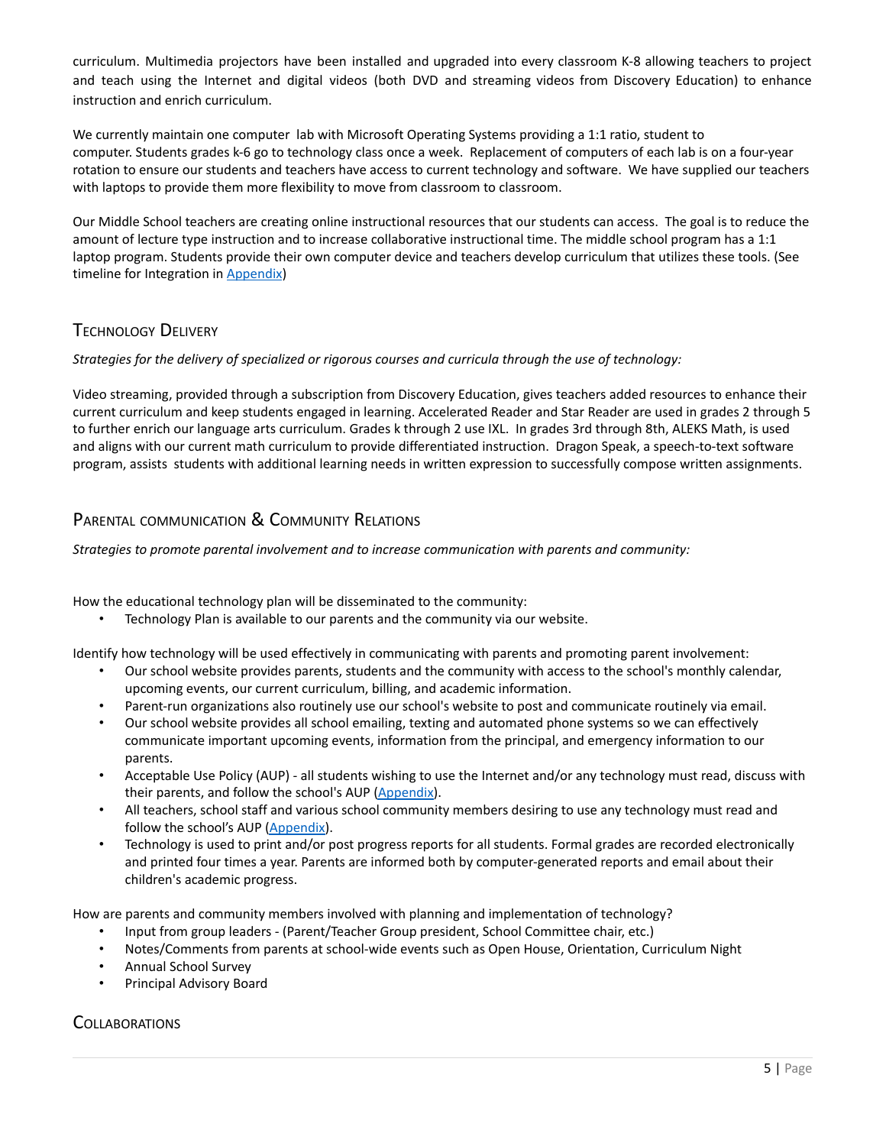curriculum. Multimedia projectors have been installed and upgraded into every classroom K-8 allowing teachers to project and teach using the Internet and digital videos (both DVD and streaming videos from Discovery Education) to enhance instruction and enrich curriculum.

We currently maintain one computer lab with Microsoft Operating Systems providing a 1:1 ratio, student to computer. Students grades k-6 go to technology class once a week. Replacement of computers of each lab is on a four-year rotation to ensure our students and teachers have access to current technology and software. We have supplied our teachers with laptops to provide them more flexibility to move from classroom to classroom.

Our Middle School teachers are creating online instructional resources that our students can access. The goal is to reduce the amount of lecture type instruction and to increase collaborative instructional time. The middle school program has a 1:1 laptop program. Students provide their own computer device and teachers develop curriculum that utilizes these tools. (See timeline for Integration in Appendix)

# TECHNOLOGY DELIVERY

*Strategies for the delivery of specialized or rigorous courses and curricula through the use of technology:*

Video streaming, provided through a subscription from Discovery Education, gives teachers added resources to enhance their current curriculum and keep students engaged in learning. Accelerated Reader and Star Reader are used in grades 2 through 5 to further enrich our language arts curriculum. Grades k through 2 use IXL. In grades 3rd through 8th, ALEKS Math, is used and aligns with our current math curriculum to provide differentiated instruction. Dragon Speak, a speech-to-text software program, assists students with additional learning needs in written expression to successfully compose written assignments.

# PARENTAL COMMUNICATION & COMMUNITY RELATIONS

*Strategies to promote parental involvement and to increase communication with parents and community:*

How the educational technology plan will be disseminated to the community:

Technology Plan is available to our parents and the community via our website.

Identify how technology will be used effectively in communicating with parents and promoting parent involvement:

- Our school website provides parents, students and the community with access to the school's monthly calendar, upcoming events, our current curriculum, billing, and academic information.
- Parent-run organizations also routinely use our school's website to post and communicate routinely via email.
- Our school website provides all school emailing, texting and automated phone systems so we can effectively communicate important upcoming events, information from the principal, and emergency information to our parents.
- Acceptable Use Policy (AUP) all students wishing to use the Internet and/or any technology must read, discuss with their parents, and follow the school's AUP [\(Appendix\)](#page-10-0).
- All teachers, school staff and various school community members desiring to use any technology must read and follow the school's AUP [\(Appendix\)](#page-10-0).
- Technology is used to print and/or post progress reports for all students. Formal grades are recorded electronically and printed four times a year. Parents are informed both by computer-generated reports and email about their children's academic progress.

How are parents and community members involved with planning and implementation of technology?

- Input from group leaders (Parent/Teacher Group president, School Committee chair, etc.)
- Notes/Comments from parents at school-wide events such as Open House, Orientation, Curriculum Night
- Annual School Survey
- Principal Advisory Board

# **COLLABORATIONS**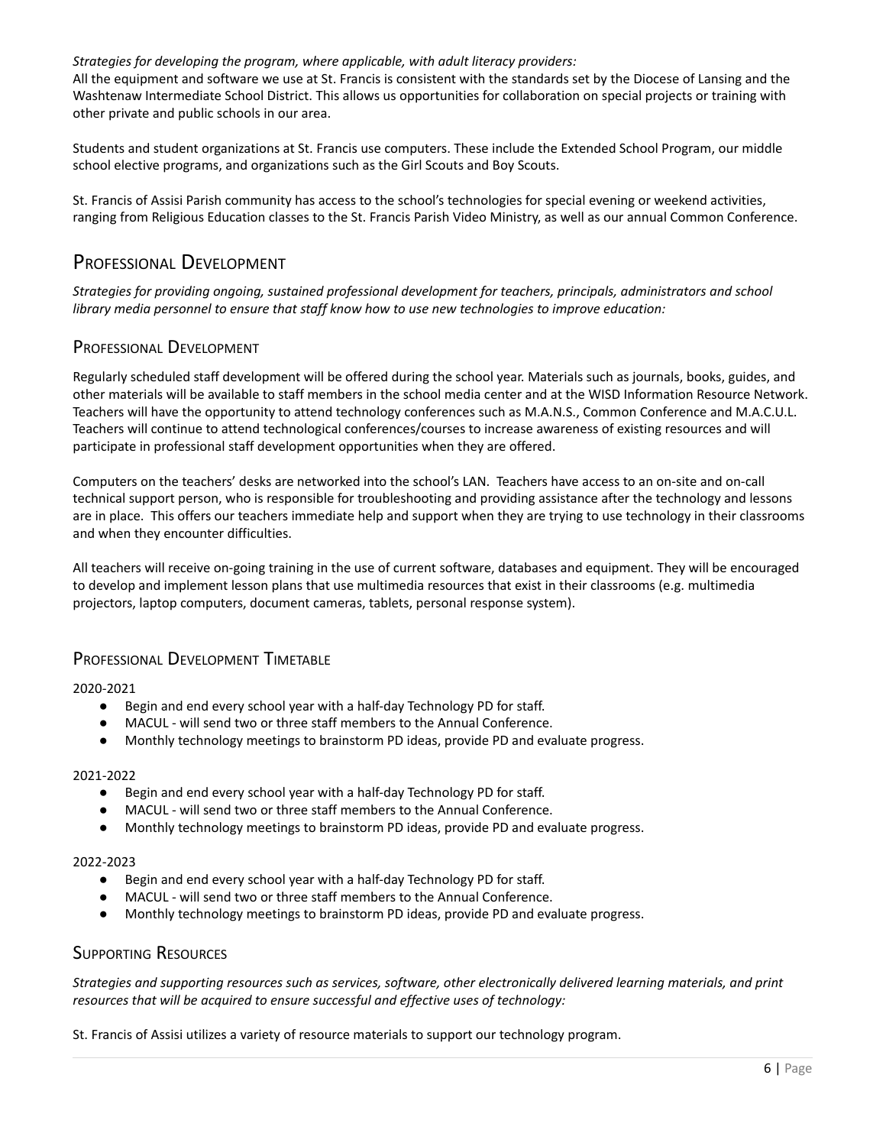### *Strategies for developing the program, where applicable, with adult literacy providers:*

All the equipment and software we use at St. Francis is consistent with the standards set by the Diocese of Lansing and the Washtenaw Intermediate School District. This allows us opportunities for collaboration on special projects or training with other private and public schools in our area.

Students and student organizations at St. Francis use computers. These include the Extended School Program, our middle school elective programs, and organizations such as the Girl Scouts and Boy Scouts.

St. Francis of Assisi Parish community has access to the school's technologies for special evening or weekend activities, ranging from Religious Education classes to the St. Francis Parish Video Ministry, as well as our annual Common Conference.

# PROFESSIONAL DEVELOPMENT

*Strategies for providing ongoing, sustained professional development for teachers, principals, administrators and school library media personnel to ensure that staff know how to use new technologies to improve education:*

### PROFESSIONAL DEVELOPMENT

Regularly scheduled staff development will be offered during the school year. Materials such as journals, books, guides, and other materials will be available to staff members in the school media center and at the WISD Information Resource Network. Teachers will have the opportunity to attend technology conferences such as M.A.N.S., Common Conference and M.A.C.U.L. Teachers will continue to attend technological conferences/courses to increase awareness of existing resources and will participate in professional staff development opportunities when they are offered.

Computers on the teachers' desks are networked into the school's LAN. Teachers have access to an on-site and on-call technical support person, who is responsible for troubleshooting and providing assistance after the technology and lessons are in place. This offers our teachers immediate help and support when they are trying to use technology in their classrooms and when they encounter difficulties.

All teachers will receive on-going training in the use of current software, databases and equipment. They will be encouraged to develop and implement lesson plans that use multimedia resources that exist in their classrooms (e.g. multimedia projectors, laptop computers, document cameras, tablets, personal response system).

# PROFESSIONAL DEVELOPMENT TIMETABLE

2020-2021

- Begin and end every school year with a half-day Technology PD for staff.
- MACUL will send two or three staff members to the Annual Conference.
- Monthly technology meetings to brainstorm PD ideas, provide PD and evaluate progress.

### 2021-2022

- Begin and end every school year with a half-day Technology PD for staff.
- MACUL will send two or three staff members to the Annual Conference.
- Monthly technology meetings to brainstorm PD ideas, provide PD and evaluate progress.

#### 2022-2023

- Begin and end every school year with a half-day Technology PD for staff.
- MACUL will send two or three staff members to the Annual Conference.
- Monthly technology meetings to brainstorm PD ideas, provide PD and evaluate progress.

### SUPPORTING RESOURCES

Strategies and supporting resources such as services, software, other electronically delivered learning materials, and print *resources that will be acquired to ensure successful and effective uses of technology:*

St. Francis of Assisi utilizes a variety of resource materials to support our technology program.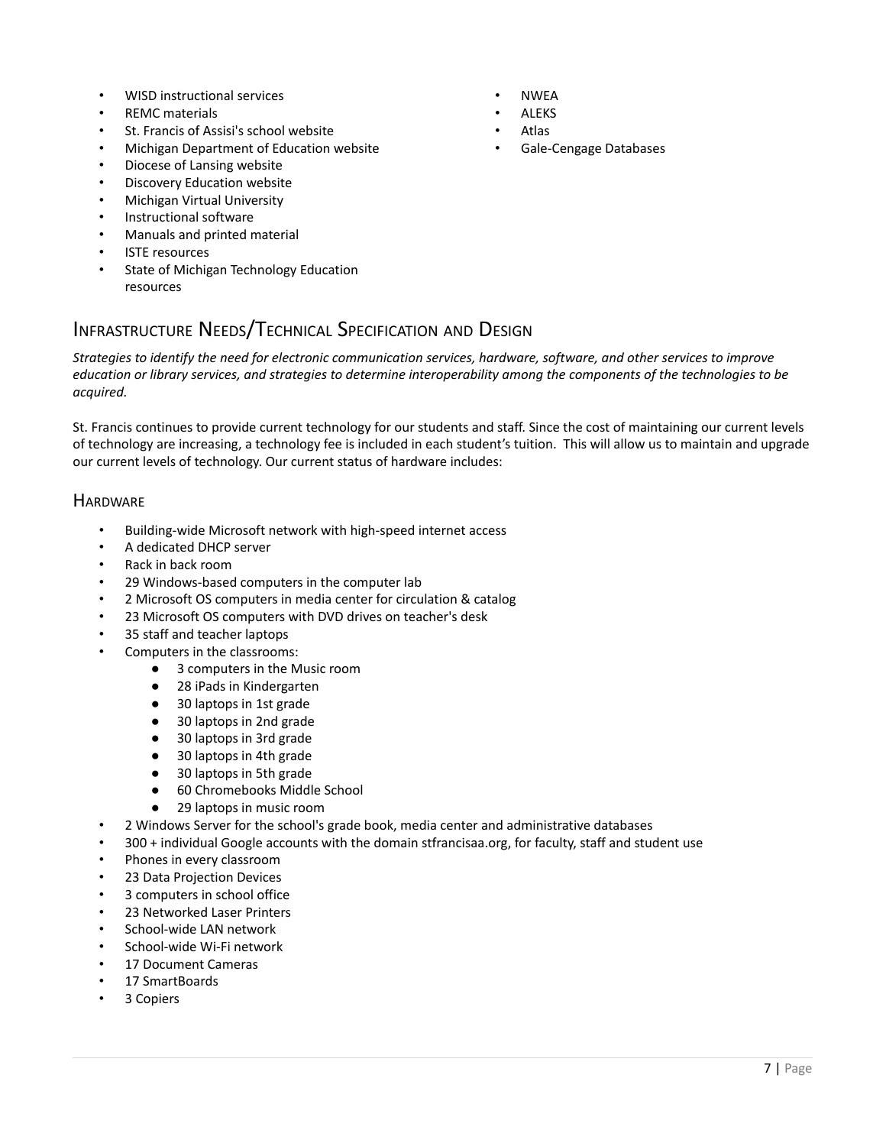- WISD instructional services
- REMC materials
- St. Francis of Assisi's school website
- Michigan Department of Education website
- Diocese of Lansing website
- Discovery Education website
- Michigan Virtual University
- Instructional software
- Manuals and printed material
- **ISTE** resources
- State of Michigan Technology Education resources

# INFRASTRUCTURE NEEDS/TECHNICAL SPECIFICATION AND DESIGN

Strategies to identify the need for electronic communication services, hardware, software, and other services to improve education or library services, and strategies to determine interoperability among the components of the technologies to be *acquired.*

St. Francis continues to provide current technology for our students and staff. Since the cost of maintaining our current levels of technology are increasing, a technology fee is included in each student's tuition. This will allow us to maintain and upgrade our current levels of technology. Our current status of hardware includes:

### **HARDWARF**

- Building-wide Microsoft network with high-speed internet access
- A dedicated DHCP server
- Rack in back room
- 29 Windows-based computers in the computer lab
- 2 Microsoft OS computers in media center for circulation & catalog
- 23 Microsoft OS computers with DVD drives on teacher's desk
- 35 staff and teacher laptops
- Computers in the classrooms:
	- 3 computers in the Music room
	- 28 iPads in Kindergarten
	- 30 laptops in 1st grade
	- 30 laptops in 2nd grade
	- 30 laptops in 3rd grade
	- 30 laptops in 4th grade
	- 30 laptops in 5th grade
	- 60 Chromebooks Middle School
	- 29 laptops in music room
- 2 Windows Server for the school's grade book, media center and administrative databases
- 300 + individual Google accounts with the domain stfrancisaa.org, for faculty, staff and student use
- Phones in every classroom
- 23 Data Projection Devices
- 3 computers in school office
- 23 Networked Laser Printers
- School-wide LAN network
- School-wide Wi-Fi network
- 17 Document Cameras
- 17 SmartBoards
- 3 Copiers
- NWEA
- **ALEKS**
- Atlas
- Gale-Cengage Databases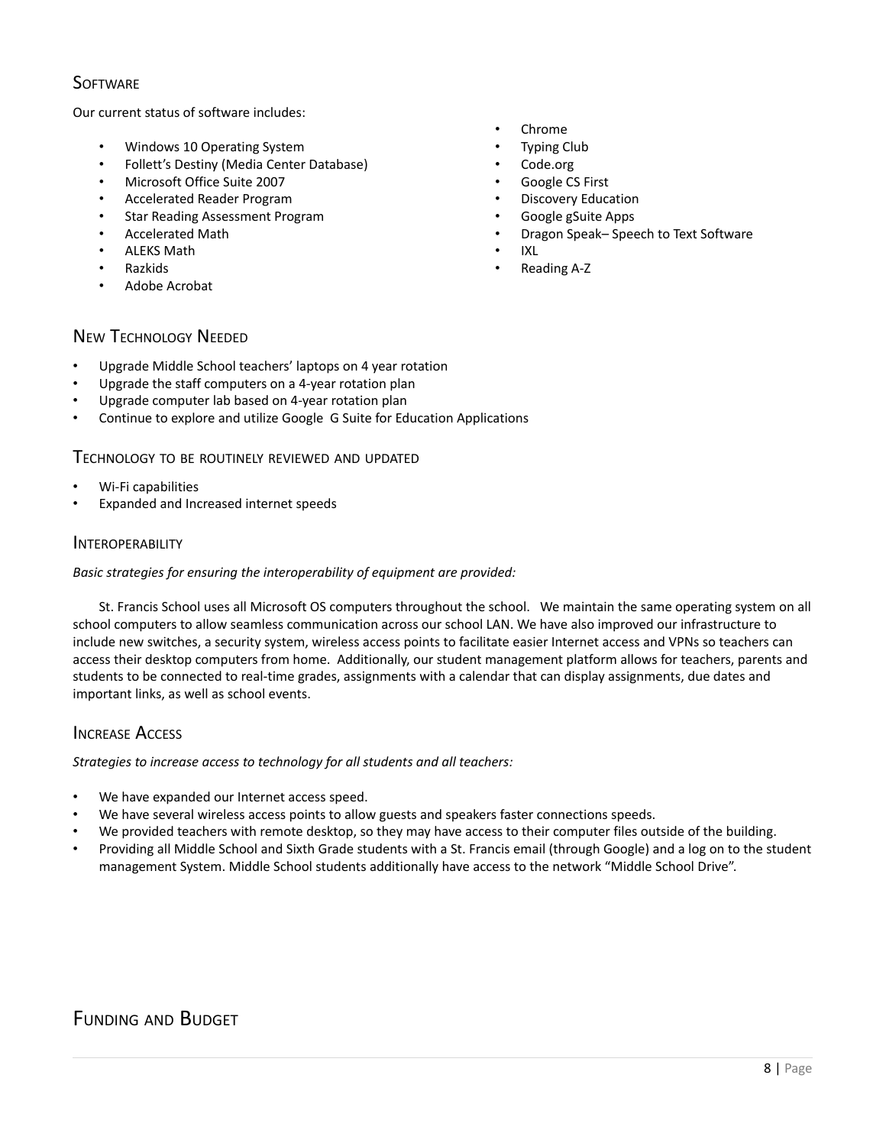# **SOFTWARE**

Our current status of software includes:

- Windows 10 Operating System
- Follett's Destiny (Media Center Database)
- Microsoft Office Suite 2007
- Accelerated Reader Program
- Star Reading Assessment Program
- Accelerated Math
- ALEKS Math
- Razkids
- Adobe Acrobat
- Chrome
- Typing Club
- Code.org
- Google CS First
- Discovery Education
- Google gSuite Apps
- Dragon Speak– Speech to Text Software
- IXL
- Reading A-Z

# NEW TECHNOLOGY NEEDED

- Upgrade Middle School teachers' laptops on 4 year rotation
- Upgrade the staff computers on a 4-year rotation plan
- Upgrade computer lab based on 4-year rotation plan
- Continue to explore and utilize Google G Suite for Education Applications

### TECHNOLOGY TO BE ROUTINELY REVIEWED AND UPDATED

- Wi-Fi capabilities
- Expanded and Increased internet speeds

### INTEROPERABILITY

### *Basic strategies for ensuring the interoperability of equipment are provided:*

St. Francis School uses all Microsoft OS computers throughout the school. We maintain the same operating system on all school computers to allow seamless communication across our school LAN. We have also improved our infrastructure to include new switches, a security system, wireless access points to facilitate easier Internet access and VPNs so teachers can access their desktop computers from home. Additionally, our student management platform allows for teachers, parents and students to be connected to real-time grades, assignments with a calendar that can display assignments, due dates and important links, as well as school events.

# **INCREASE ACCESS**

*Strategies to increase access to technology for all students and all teachers:*

- We have expanded our Internet access speed.
- We have several wireless access points to allow guests and speakers faster connections speeds.
- We provided teachers with remote desktop, so they may have access to their computer files outside of the building.
- Providing all Middle School and Sixth Grade students with a St. Francis email (through Google) and a log on to the student management System. Middle School students additionally have access to the network "Middle School Drive".

# FUNDING AND BUDGET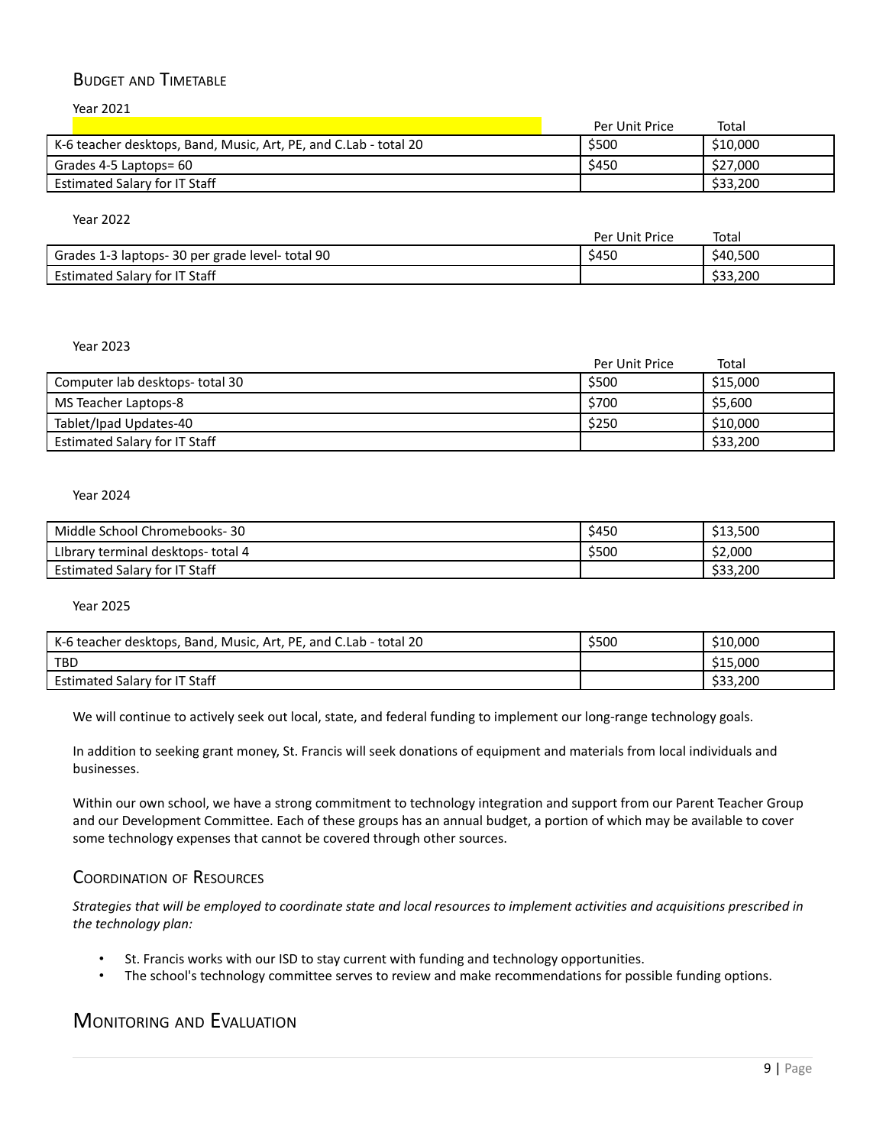# BUDGET AND TIMETABLE

Year 2021

| Per Unit Price | Total    |
|----------------|----------|
| \$500          | \$10,000 |
| \$450          | \$27,000 |
|                | \$33,200 |
|                |          |

#### Year 2022

|                                                  | Per Unit Price | Total    |
|--------------------------------------------------|----------------|----------|
| Grades 1-3 laptops- 30 per grade level- total 90 | \$450          | \$40,500 |
| Estimated Salary for IT Staff                    |                | \$33,200 |

#### Year 2023

|                                      | Per Unit Price | Total    |
|--------------------------------------|----------------|----------|
| Computer lab desktops- total 30      | \$500          | \$15,000 |
| MS Teacher Laptops-8                 | \$700          | \$5,600  |
| Tablet/Ipad Updates-40               | \$250          | \$10,000 |
| <b>Estimated Salary for IT Staff</b> |                | \$33,200 |

### Year 2024

| Middle School Chromebooks-<br>30      | \$450 | \$13,500 |
|---------------------------------------|-------|----------|
| Library terminal desktops-<br>total 4 | \$500 | \$2,000  |
| . Salary for IT Staff<br>Estimated    |       | \$33,200 |

#### Year 2025

| K-6 teacher desktops, Band, Music, Art, PE, and C.Lab - total 20 | \$500 | \$10,000 |
|------------------------------------------------------------------|-------|----------|
| <b>TBD</b>                                                       |       | \$15,000 |
| Estimated Salary for IT Staff                                    |       | \$33,200 |

We will continue to actively seek out local, state, and federal funding to implement our long-range technology goals.

In addition to seeking grant money, St. Francis will seek donations of equipment and materials from local individuals and businesses.

Within our own school, we have a strong commitment to technology integration and support from our Parent Teacher Group and our Development Committee. Each of these groups has an annual budget, a portion of which may be available to cover some technology expenses that cannot be covered through other sources.

### COORDINATION OF RESOURCES

Strategies that will be employed to coordinate state and local resources to implement activities and acquisitions prescribed in *the technology plan:*

- St. Francis works with our ISD to stay current with funding and technology opportunities.
- The school's technology committee serves to review and make recommendations for possible funding options.

# MONITORING AND EVALUATION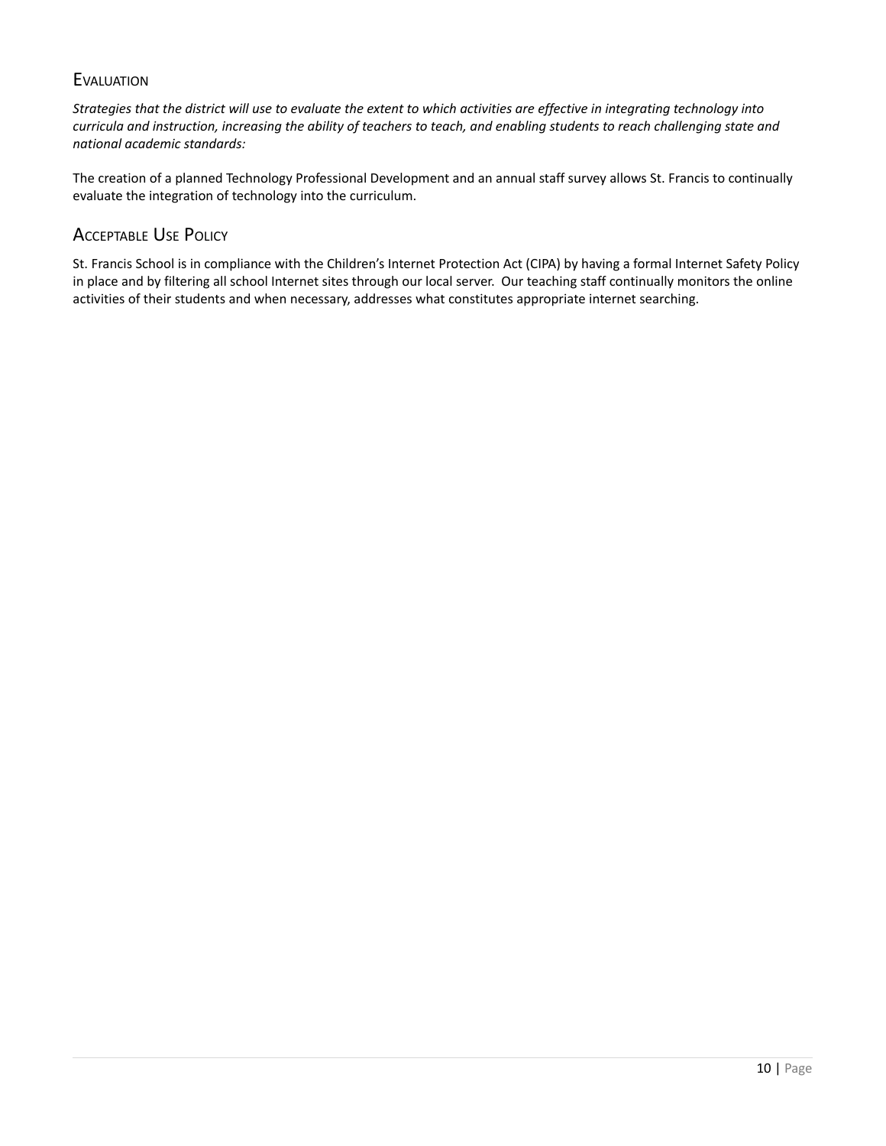# **EVALUATION**

Strategies that the district will use to evaluate the extent to which activities are effective in integrating technology into curricula and instruction, increasing the ability of teachers to teach, and enabling students to reach challenging state and *national academic standards:*

The creation of a planned Technology Professional Development and an annual staff survey allows St. Francis to continually evaluate the integration of technology into the curriculum.

# ACCEPTABLE USE POLICY

St. Francis School is in compliance with the Children's Internet Protection Act (CIPA) by having a formal Internet Safety Policy in place and by filtering all school Internet sites through our local server. Our teaching staff continually monitors the online activities of their students and when necessary, addresses what constitutes appropriate internet searching.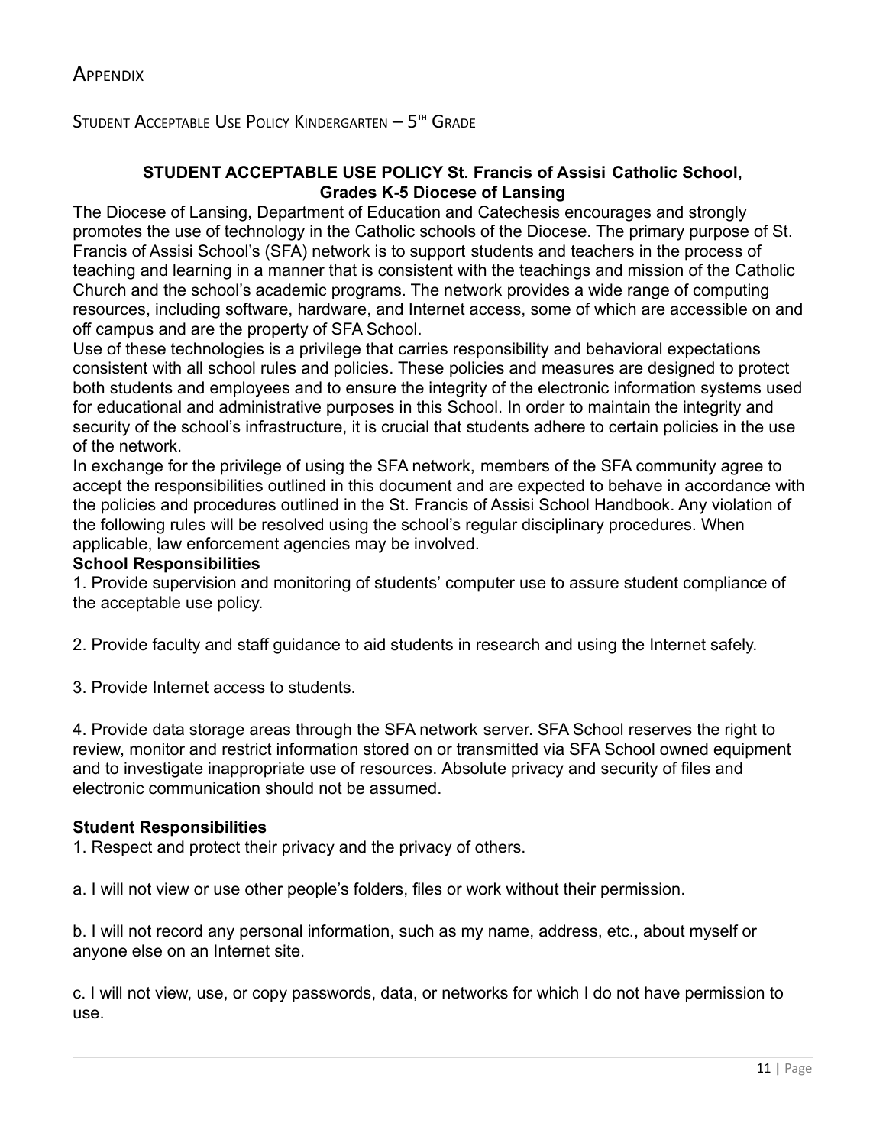<span id="page-10-0"></span>Student Acceptable Use Policy Kindergarten  $-5$ <sup>th</sup> Grade

# **STUDENT ACCEPTABLE USE POLICY St. Francis of Assisi Catholic School, Grades K-5 Diocese of Lansing**

The Diocese of Lansing, Department of Education and Catechesis encourages and strongly promotes the use of technology in the Catholic schools of the Diocese. The primary purpose of St. Francis of Assisi School's (SFA) network is to support students and teachers in the process of teaching and learning in a manner that is consistent with the teachings and mission of the Catholic Church and the school's academic programs. The network provides a wide range of computing resources, including software, hardware, and Internet access, some of which are accessible on and off campus and are the property of SFA School.

Use of these technologies is a privilege that carries responsibility and behavioral expectations consistent with all school rules and policies. These policies and measures are designed to protect both students and employees and to ensure the integrity of the electronic information systems used for educational and administrative purposes in this School. In order to maintain the integrity and security of the school's infrastructure, it is crucial that students adhere to certain policies in the use of the network.

In exchange for the privilege of using the SFA network, members of the SFA community agree to accept the responsibilities outlined in this document and are expected to behave in accordance with the policies and procedures outlined in the St. Francis of Assisi School Handbook. Any violation of the following rules will be resolved using the school's regular disciplinary procedures. When applicable, law enforcement agencies may be involved.

# **School Responsibilities**

1. Provide supervision and monitoring of students' computer use to assure student compliance of the acceptable use policy.

2. Provide faculty and staff guidance to aid students in research and using the Internet safely.

3. Provide Internet access to students.

4. Provide data storage areas through the SFA network server. SFA School reserves the right to review, monitor and restrict information stored on or transmitted via SFA School owned equipment and to investigate inappropriate use of resources. Absolute privacy and security of files and electronic communication should not be assumed.

# **Student Responsibilities**

1. Respect and protect their privacy and the privacy of others.

a. I will not view or use other people's folders, files or work without their permission.

b. I will not record any personal information, such as my name, address, etc., about myself or anyone else on an Internet site.

c. I will not view, use, or copy passwords, data, or networks for which I do not have permission to use.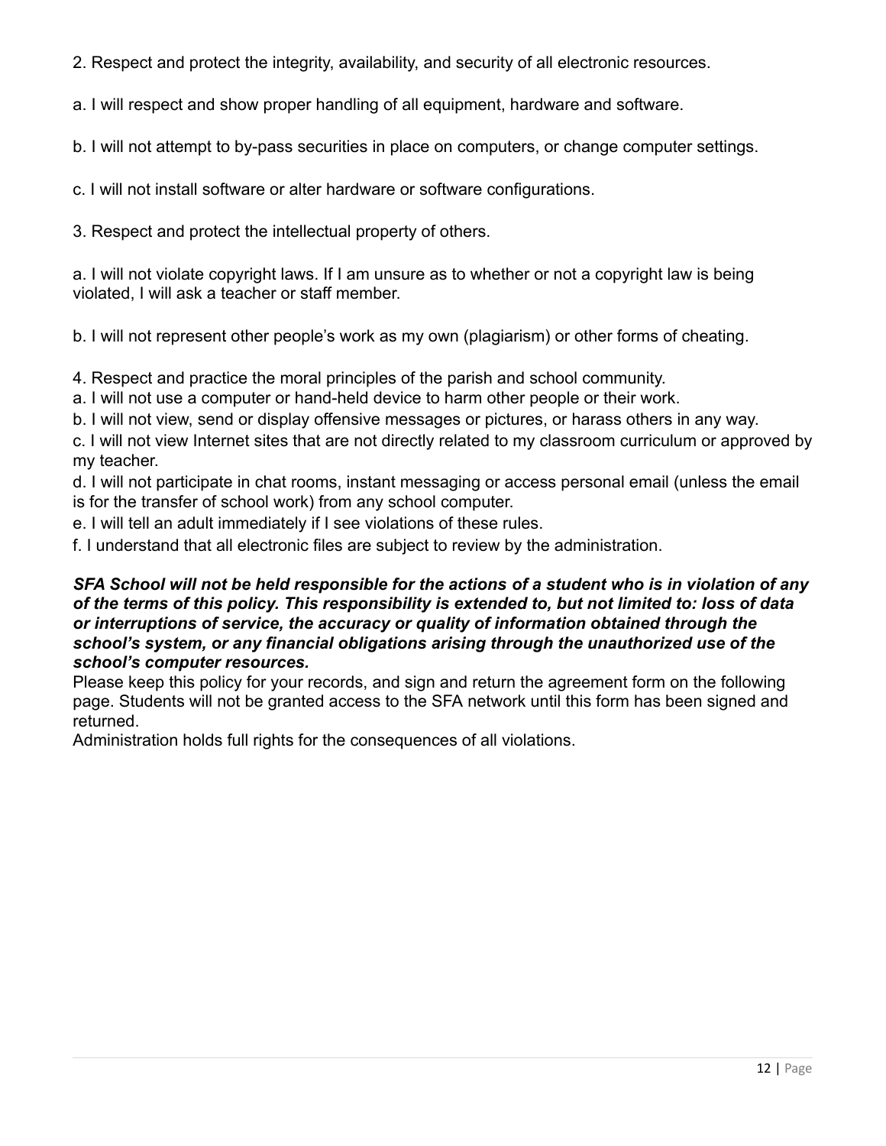- 2. Respect and protect the integrity, availability, and security of all electronic resources.
- a. I will respect and show proper handling of all equipment, hardware and software.
- b. I will not attempt to by-pass securities in place on computers, or change computer settings.
- c. I will not install software or alter hardware or software configurations.
- 3. Respect and protect the intellectual property of others.

a. I will not violate copyright laws. If I am unsure as to whether or not a copyright law is being violated, I will ask a teacher or staff member.

b. I will not represent other people's work as my own (plagiarism) or other forms of cheating.

- 4. Respect and practice the moral principles of the parish and school community.
- a. I will not use a computer or hand-held device to harm other people or their work.
- b. I will not view, send or display offensive messages or pictures, or harass others in any way.

c. I will not view Internet sites that are not directly related to my classroom curriculum or approved by my teacher.

d. I will not participate in chat rooms, instant messaging or access personal email (unless the email is for the transfer of school work) from any school computer.

- e. I will tell an adult immediately if I see violations of these rules.
- f. I understand that all electronic files are subject to review by the administration.

# SFA School will not be held responsible for the actions of a student who is in violation of any *of the terms of this policy. This responsibility is extended to, but not limited to: loss of data or interruptions of service, the accuracy or quality of information obtained through the school's system, or any financial obligations arising through the unauthorized use of the school's computer resources.*

Please keep this policy for your records, and sign and return the agreement form on the following page. Students will not be granted access to the SFA network until this form has been signed and returned.

Administration holds full rights for the consequences of all violations.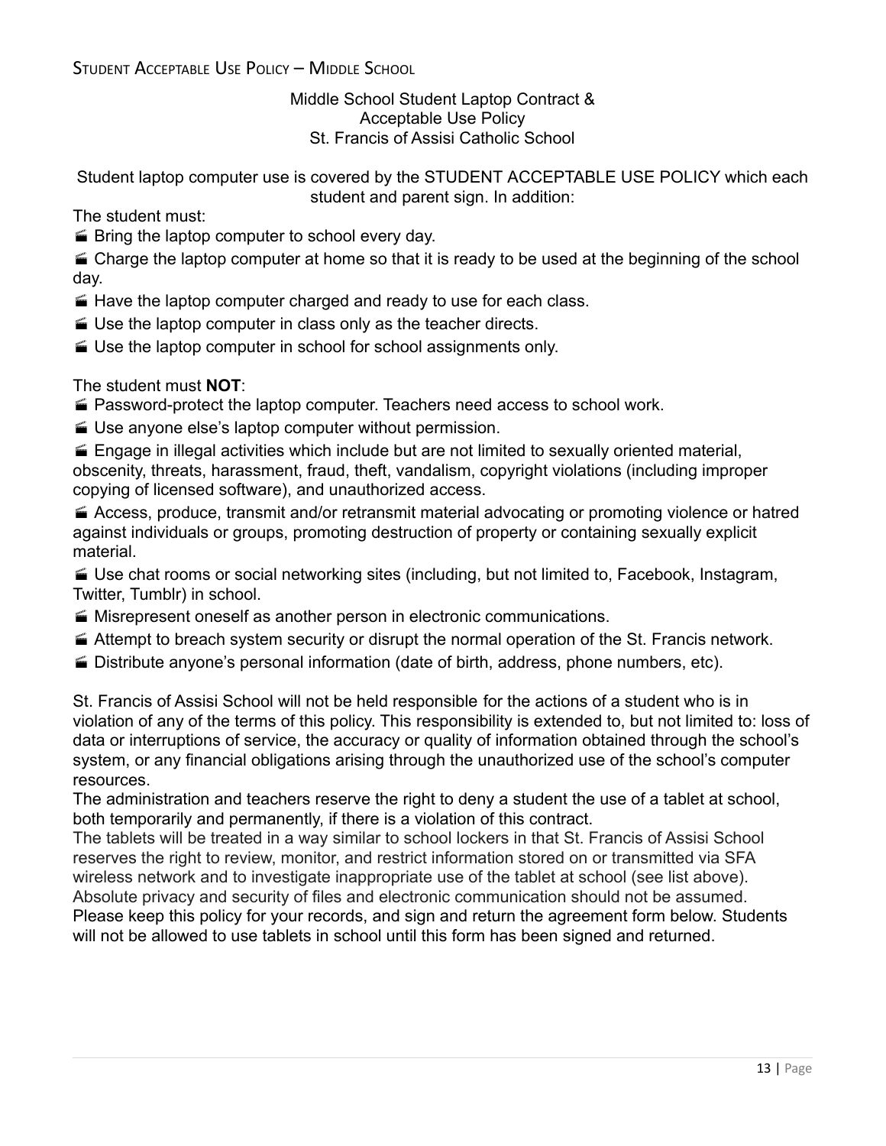STUDENT ACCEPTABLE USE POLICY – MIDDLE SCHOOL

Middle School Student Laptop Contract & Acceptable Use Policy St. Francis of Assisi Catholic School

Student laptop computer use is covered by the STUDENT ACCEPTABLE USE POLICY which each student and parent sign. In addition:

The student must:

**E** Bring the laptop computer to school every day.

 $\blacktriangle$  Charge the laptop computer at home so that it is ready to be used at the beginning of the school day.

- Have the laptop computer charged and ready to use for each class.
- Use the laptop computer in class only as the teacher directs.
- Use the laptop computer in school for school assignments only.

The student must **NOT**:

- Password-protect the laptop computer. Teachers need access to school work.
- Use anyone else's laptop computer without permission.

 $\blacktriangleright$  Engage in illegal activities which include but are not limited to sexually oriented material, obscenity, threats, harassment, fraud, theft, vandalism, copyright violations (including improper copying of licensed software), and unauthorized access.

 Access, produce, transmit and/or retransmit material advocating or promoting violence or hatred against individuals or groups, promoting destruction of property or containing sexually explicit material.

 Use chat rooms or social networking sites (including, but not limited to, Facebook, Instagram, Twitter, Tumblr) in school.

- Misrepresent oneself as another person in electronic communications.
- Attempt to breach system security or disrupt the normal operation of the St. Francis network.
- Distribute anyone's personal information (date of birth, address, phone numbers, etc).

St. Francis of Assisi School will not be held responsible for the actions of a student who is in violation of any of the terms of this policy. This responsibility is extended to, but not limited to: loss of data or interruptions of service, the accuracy or quality of information obtained through the school's system, or any financial obligations arising through the unauthorized use of the school's computer resources.

The administration and teachers reserve the right to deny a student the use of a tablet at school, both temporarily and permanently, if there is a violation of this contract.

The tablets will be treated in a way similar to school lockers in that St. Francis of Assisi School reserves the right to review, monitor, and restrict information stored on or transmitted via SFA wireless network and to investigate inappropriate use of the tablet at school (see list above). Absolute privacy and security of files and electronic communication should not be assumed. Please keep this policy for your records, and sign and return the agreement form below. Students will not be allowed to use tablets in school until this form has been signed and returned.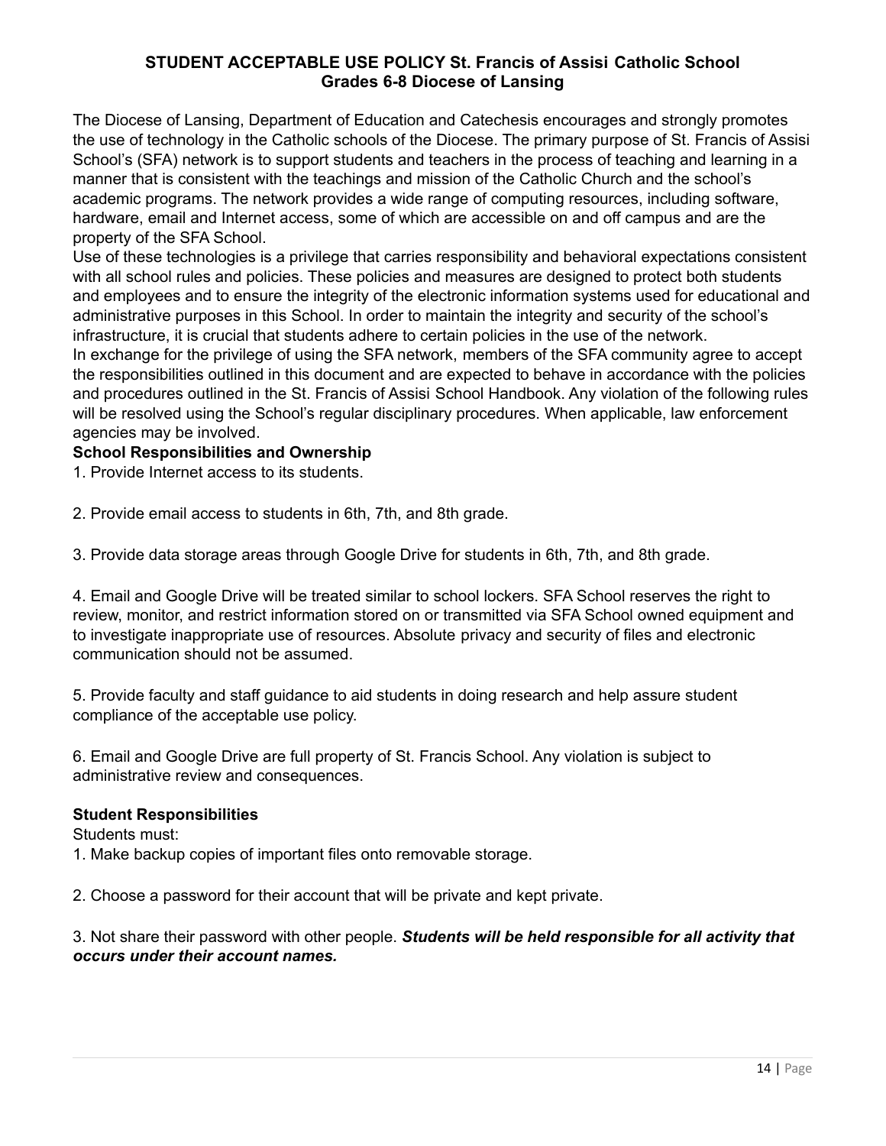# **STUDENT ACCEPTABLE USE POLICY St. Francis of Assisi Catholic School Grades 6-8 Diocese of Lansing**

The Diocese of Lansing, Department of Education and Catechesis encourages and strongly promotes the use of technology in the Catholic schools of the Diocese. The primary purpose of St. Francis of Assisi School's (SFA) network is to support students and teachers in the process of teaching and learning in a manner that is consistent with the teachings and mission of the Catholic Church and the school's academic programs. The network provides a wide range of computing resources, including software, hardware, email and Internet access, some of which are accessible on and off campus and are the property of the SFA School.

Use of these technologies is a privilege that carries responsibility and behavioral expectations consistent with all school rules and policies. These policies and measures are designed to protect both students and employees and to ensure the integrity of the electronic information systems used for educational and administrative purposes in this School. In order to maintain the integrity and security of the school's infrastructure, it is crucial that students adhere to certain policies in the use of the network.

In exchange for the privilege of using the SFA network, members of the SFA community agree to accept the responsibilities outlined in this document and are expected to behave in accordance with the policies and procedures outlined in the St. Francis of Assisi School Handbook. Any violation of the following rules will be resolved using the School's regular disciplinary procedures. When applicable, law enforcement agencies may be involved.

# **School Responsibilities and Ownership**

1. Provide Internet access to its students.

2. Provide email access to students in 6th, 7th, and 8th grade.

3. Provide data storage areas through Google Drive for students in 6th, 7th, and 8th grade.

4. Email and Google Drive will be treated similar to school lockers. SFA School reserves the right to review, monitor, and restrict information stored on or transmitted via SFA School owned equipment and to investigate inappropriate use of resources. Absolute privacy and security of files and electronic communication should not be assumed.

5. Provide faculty and staff guidance to aid students in doing research and help assure student compliance of the acceptable use policy.

6. Email and Google Drive are full property of St. Francis School. Any violation is subject to administrative review and consequences.

### **Student Responsibilities**

Students must:

1. Make backup copies of important files onto removable storage.

2. Choose a password for their account that will be private and kept private.

3. Not share their password with other people. *Students will be held responsible for all activity that occurs under their account names.*